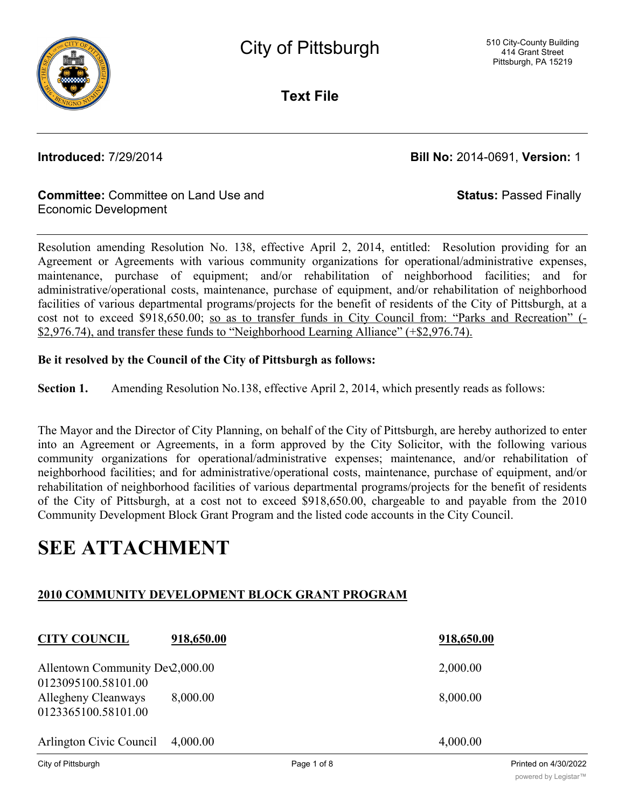

**Text File**

**Introduced:** 7/29/2014 **Bill No:** 2014-0691, **Version:** 1

**Status:** Passed Finally

### **Committee:** Committee on Land Use and Economic Development

Resolution amending Resolution No. 138, effective April 2, 2014, entitled: Resolution providing for an Agreement or Agreements with various community organizations for operational/administrative expenses, maintenance, purchase of equipment; and/or rehabilitation of neighborhood facilities; and for administrative/operational costs, maintenance, purchase of equipment, and/or rehabilitation of neighborhood facilities of various departmental programs/projects for the benefit of residents of the City of Pittsburgh, at a cost not to exceed \$918,650.00; so as to transfer funds in City Council from: "Parks and Recreation" (- \$2,976.74), and transfer these funds to "Neighborhood Learning Alliance" (+\$2,976.74).

### **Be it resolved by the Council of the City of Pittsburgh as follows:**

**Section 1.** Amending Resolution No.138, effective April 2, 2014, which presently reads as follows:

The Mayor and the Director of City Planning, on behalf of the City of Pittsburgh, are hereby authorized to enter into an Agreement or Agreements, in a form approved by the City Solicitor, with the following various community organizations for operational/administrative expenses; maintenance, and/or rehabilitation of neighborhood facilities; and for administrative/operational costs, maintenance, purchase of equipment, and/or rehabilitation of neighborhood facilities of various departmental programs/projects for the benefit of residents of the City of Pittsburgh, at a cost not to exceed \$918,650.00, chargeable to and payable from the 2010 Community Development Block Grant Program and the listed code accounts in the City Council.

## **SEE ATTACHMENT**

### **2010 COMMUNITY DEVELOPMENT BLOCK GRANT PROGRAM**

| <b>CITY COUNCIL</b>                                                                                                                                                                                                                                                                                                                                         | 918,650.00 |       | 918,650.00 |
|-------------------------------------------------------------------------------------------------------------------------------------------------------------------------------------------------------------------------------------------------------------------------------------------------------------------------------------------------------------|------------|-------|------------|
| Allentown Community Dev2,000.00<br>0123095100.58101.00                                                                                                                                                                                                                                                                                                      |            |       | 2,000.00   |
| Allegheny Cleanways<br>0123365100.58101.00                                                                                                                                                                                                                                                                                                                  | 8,000.00   |       | 8,000.00   |
| Arlington Civic Council                                                                                                                                                                                                                                                                                                                                     | 4,000.00   |       | 4,000.00   |
| $\mathcal{L}$ $\mathcal{L}$ $\mathcal{L}$ $\mathcal{L}$ $\mathcal{L}$ $\mathcal{L}$ $\mathcal{L}$ $\mathcal{L}$ $\mathcal{L}$ $\mathcal{L}$ $\mathcal{L}$ $\mathcal{L}$ $\mathcal{L}$ $\mathcal{L}$ $\mathcal{L}$ $\mathcal{L}$ $\mathcal{L}$ $\mathcal{L}$ $\mathcal{L}$ $\mathcal{L}$ $\mathcal{L}$ $\mathcal{L}$ $\mathcal{L}$ $\mathcal{L}$ $\mathcal{$ |            | - 110 |            |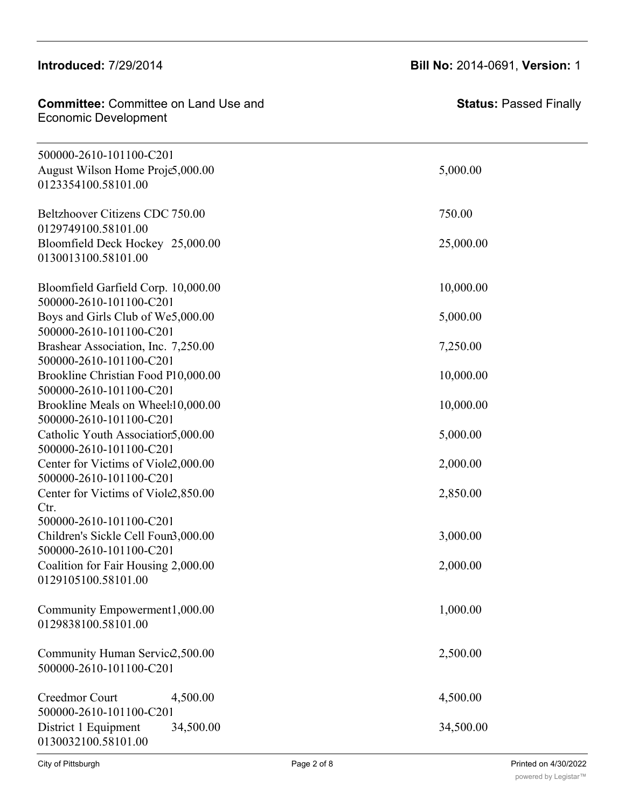### **Introduced: 7/29/2014**

### **Committee:** Committee on Land Use and **Allegheny Committee: Stat Committee:** Committee

**Status:** Passed Finally

| 500000-2610-101100-C201          |          |
|----------------------------------|----------|
| August Wilson Home Proje5,000.00 | 5,000.00 |
| 0123354100.58101.00              |          |

| 0123354100.58101.00                                            |           |
|----------------------------------------------------------------|-----------|
| Beltzhoover Citizens CDC 750.00<br>0129749100.58101.00         | 750.00    |
| Bloomfield Deck Hockey 25,000.00<br>0130013100.58101.00        | 25,000.00 |
| Bloomfield Garfield Corp. 10,000.00                            | 10,000.00 |
| 500000-2610-101100-C201                                        |           |
| Boys and Girls Club of We5,000.00                              | 5,000.00  |
| 500000-2610-101100-C201                                        |           |
| Brashear Association, Inc. 7,250.00<br>500000-2610-101100-C201 | 7,250.00  |
| Brookline Christian Food P10,000.00                            | 10,000.00 |
| 500000-2610-101100-C201                                        |           |
| Brookline Meals on Wheel:10,000.00<br>500000-2610-101100-C201  | 10,000.00 |
| Catholic Youth Association 5,000.00                            | 5,000.00  |
| 500000-2610-101100-C201                                        |           |
| Center for Victims of Viole2,000.00                            | 2,000.00  |
| 500000-2610-101100-C201<br>Center for Victims of Viole2,850.00 | 2,850.00  |
| Ctr.                                                           |           |
| 500000-2610-101100-C201                                        |           |
| Children's Sickle Cell Foun3,000.00<br>500000-2610-101100-C201 | 3,000.00  |
| Coalition for Fair Housing 2,000.00                            | 2,000.00  |
| 0129105100.58101.00                                            |           |
|                                                                |           |
| Community Empowerment1,000.00<br>0129838100.58101.00           | 1,000.00  |
|                                                                |           |
| Community Human Servic2,500.00                                 | 2,500.00  |
| 500000-2610-101100-C201                                        |           |
| Creedmor Court<br>4,500.00                                     | 4,500.00  |
| 500000-2610-101100-C201                                        |           |
| 34,500.00<br>District 1 Equipment                              | 34,500.00 |

**CITY COUNCIL 918,650.00 918,650.00**

0130032100.58101.00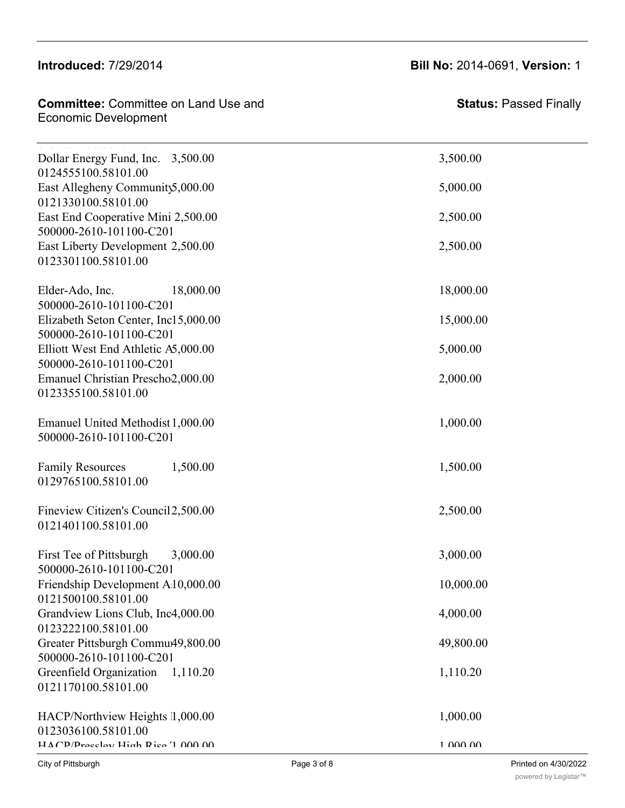### Community Human Services2,500.00 2,500.00 500000-2610-101100-C2010-G223179-2010

# Economic Development

| <b>Committee:</b> Committee on Land Use and | <b>Statu</b> |
|---------------------------------------------|--------------|
| Economic Development                        |              |
|                                             |              |

| <b>Status: Passed Finally</b> |  |
|-------------------------------|--|
|                               |  |

| .<br>Dollar Energy Fund, Inc. 3,500.00                          | 3,500.00  |
|-----------------------------------------------------------------|-----------|
| 0124555100.58101.00<br>East Allegheny Community5,000.00         | 5,000.00  |
| 0121330100.58101.00<br>East End Cooperative Mini 2,500.00       | 2,500.00  |
| 500000-2610-101100-C201<br>East Liberty Development 2,500.00    | 2,500.00  |
| 0123301100.58101.00                                             |           |
| Elder-Ado, Inc.<br>18,000.00<br>500000-2610-101100-C201         | 18,000.00 |
| Elizabeth Seton Center, Inc15,000.00<br>500000-2610-101100-C201 | 15,000.00 |
| Elliott West End Athletic A5,000.00<br>500000-2610-101100-C201  | 5,000.00  |
| Emanuel Christian Prescho2,000.00<br>0123355100.58101.00        | 2,000.00  |
| Emanuel United Methodist 1,000.00<br>500000-2610-101100-C201    | 1,000.00  |
| <b>Family Resources</b><br>1,500.00<br>0129765100.58101.00      | 1,500.00  |
| Fineview Citizen's Council 2,500.00<br>0121401100.58101.00      | 2,500.00  |
| First Tee of Pittsburgh<br>3,000.00<br>500000-2610-101100-C201  | 3,000.00  |
| Friendship Development A10,000.00<br>0121500100.58101.00        | 10,000.00 |
| Grandview Lions Club, Inc4,000.00<br>0123222100.58101.00        | 4,000.00  |
| Greater Pittsburgh Commu49,800.00<br>500000-2610-101100-C201    | 49,800.00 |
| Greenfield Organization<br>1,110.20<br>0121170100.58101.00      | 1,110.20  |
| HACP/Northview Heights 1,000.00<br>0123036100.58101.00          | 1,000.00  |
| $H\Delta CP/Precelev$ High Rice 1 000 00                        | 1.00000   |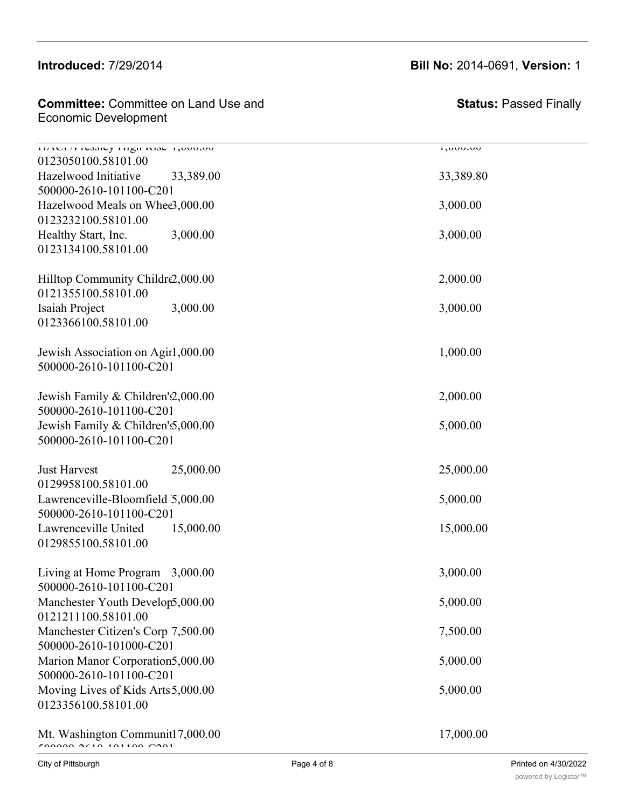### Introduced: 7/29/2014  $G = \frac{1}{20}$  or  $F = \frac{1}{20}$

### **Committee:** Committee on Land Use and  $\blacksquare$ Economic Development

 $G$ reater  $P$  is the state  $P$  in the state  $P$  of  $\mathcal{S}$  and  $\mathcal{S}$  and  $\mathcal{S}$  and  $\mathcal{S}$  and  $\mathcal{S}$  and  $\mathcal{S}$  and  $\mathcal{S}$  and  $\mathcal{S}$  and  $\mathcal{S}$  and  $\mathcal{S}$  and  $\mathcal{S}$  and  $\mathcal{S}$  and  $\mathcal{S}$  and

### **Introduced:** 7/29/2014 **Bill No:** 2014-0691, **Version:** 1

**Status:** Passed Finally

| <b>HACHITICSSICY HIGH RISC 1,000.00</b><br>0123050100.58101.00 |           | <b>UV.UUV,1</b> |
|----------------------------------------------------------------|-----------|-----------------|
| Hazelwood Initiative<br>500000-2610-101100-C201                | 33,389.00 | 33,389.80       |
| Hazelwood Meals on Whee3,000.00                                |           | 3,000.00        |
| 0123232100.58101.00<br>Healthy Start, Inc.                     | 3,000.00  | 3,000.00        |
| 0123134100.58101.00                                            |           |                 |
| Hilltop Community Childre2,000.00<br>0121355100.58101.00       |           | 2,000.00        |
| Isaiah Project<br>0123366100.58101.00                          | 3,000.00  | 3,000.00        |
| Jewish Association on Agir1,000.00<br>500000-2610-101100-C201  |           | 1,000.00        |
| Jewish Family & Children'2,000.00<br>500000-2610-101100-C201   |           | 2,000.00        |
| Jewish Family & Children's 5,000.00<br>500000-2610-101100-C201 |           | 5,000.00        |
| <b>Just Harvest</b><br>0129958100.58101.00                     | 25,000.00 | 25,000.00       |
| Lawrenceville-Bloomfield 5,000.00<br>500000-2610-101100-C201   |           | 5,000.00        |
| Lawrenceville United<br>0129855100.58101.00                    | 15,000.00 | 15,000.00       |
| Living at Home Program 3,000.00<br>500000-2610-101100-C201     |           | 3,000.00        |
| Manchester Youth Develop5,000.00<br>0121211100.58101.00        |           | 5,000.00        |
| Manchester Citizen's Corp 7,500.00<br>500000-2610-101000-C201  |           | 7,500.00        |
| Marion Manor Corporation5,000.00<br>500000-2610-101100-C201    |           | 5,000.00        |
| Moving Lives of Kids Arts 5,000.00<br>0123356100.58101.00      |           | 5,000.00        |
| Mt. Washington Communit17,000.00                               |           | 17,000.00       |

500000-2610-101100-C2010-G229780-2010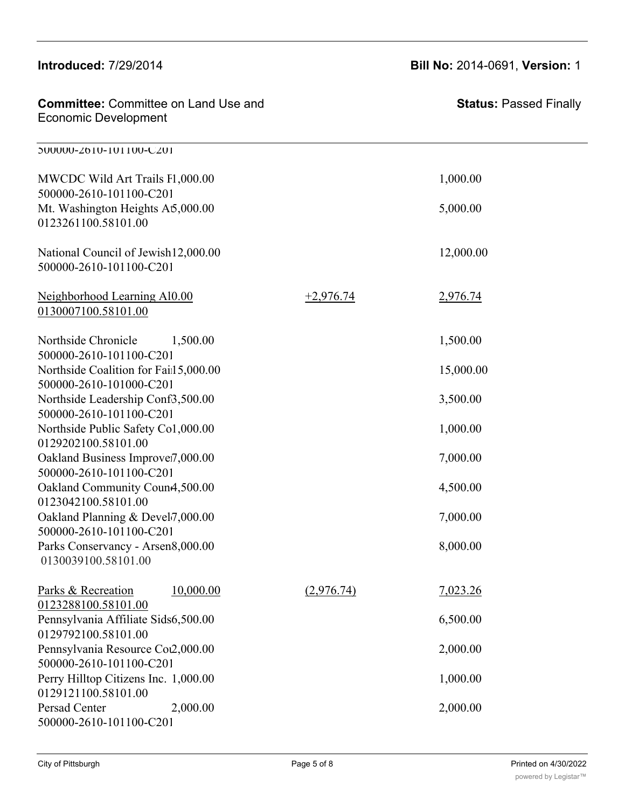| <b>Introduced: 7/29/2014</b>                                                       |             | Bill No: 2014-0691, Version: 1 |
|------------------------------------------------------------------------------------|-------------|--------------------------------|
| <b>Committee: Committee on Land Use and</b><br><b>Economic Development</b>         |             | <b>Status: Passed Finally</b>  |
| 200000-2610-101100-C201                                                            |             |                                |
| MWCDC Wild Art Trails F1,000.00                                                    |             | 1,000.00                       |
| 500000-2610-101100-C201<br>Mt. Washington Heights A5,000.00<br>0123261100.58101.00 |             | 5,000.00                       |
| National Council of Jewish 12,000.00<br>500000-2610-101100-C201                    |             | 12,000.00                      |
| Neighborhood Learning Al0.00<br>0130007100.58101.00                                | $+2,976.74$ | 2,976.74                       |
| Northside Chronicle<br>1,500.00<br>500000-2610-101100-C201                         |             | 1,500.00                       |
| Northside Coalition for Fail 5,000.00<br>500000-2610-101000-C201                   |             | 15,000.00                      |
| Northside Leadership Conf3,500.00<br>500000-2610-101100-C201                       |             | 3,500.00                       |
| Northside Public Safety Co1,000.00<br>0129202100.58101.00                          |             | 1,000.00                       |
| Oakland Business Improver7,000.00<br>500000-2610-101100-C201                       |             | 7,000.00                       |
| Oakland Community Coun4,500.00<br>0123042100.58101.00                              |             | 4,500.00                       |
| Oakland Planning & Devel7,000.00<br>500000-2610-101100-C201                        |             | 7,000.00                       |
| Parks Conservancy - Arsen8,000.00<br>0130039100.58101.00                           |             | 8,000.00                       |
| Parks & Recreation<br>10,000.00                                                    | (2,976.74)  | 7,023.26                       |
| 0123288100.58101.00<br>Pennsylvania Affiliate Sids6,500.00<br>0129792100.58101.00  |             | 6,500.00                       |
| Pennsylvania Resource Cov2,000.00<br>500000-2610-101100-C201                       |             | 2,000.00                       |
| Perry Hilltop Citizens Inc. 1,000.00<br>0129121100.58101.00                        |             | 1,000.00                       |
| Persad Center<br>2,000.00<br>500000-2610-101100-C201                               |             | 2,000.00                       |

500000-2610-101000-C2010-G229892-2010

 $\overline{\phantom{0}}$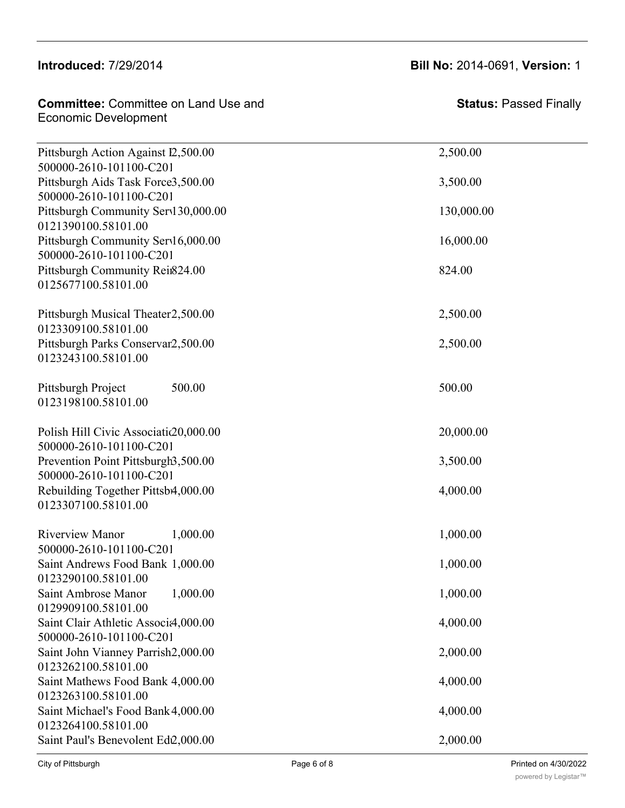### Introduced: 7/29/2014

0129792100.58101.00

| <b>Committee:</b> Committee on Land Use and | <b>Stat</b> |
|---------------------------------------------|-------------|
| Economic Development                        |             |

**Status:** Passed Finally

| Pittsburgh Action Against I2,500.00<br>500000-2610-101100-C201    | 2,500.00   |
|-------------------------------------------------------------------|------------|
| Pittsburgh Aids Task Force3,500.00<br>500000-2610-101100-C201     | 3,500.00   |
| Pittsburgh Community Serv130,000.00                               | 130,000.00 |
| 0121390100.58101.00<br>Pittsburgh Community Serv16,000.00         | 16,000.00  |
| 500000-2610-101100-C201                                           |            |
| Pittsburgh Community Rein824.00<br>0125677100.58101.00            | 824.00     |
| Pittsburgh Musical Theater2,500.00<br>0123309100.58101.00         | 2,500.00   |
| Pittsburgh Parks Conservar2,500.00<br>0123243100.58101.00         | 2,500.00   |
| 500.00<br>Pittsburgh Project<br>0123198100.58101.00               | 500.00     |
| Polish Hill Civic Associatic 20,000.00<br>500000-2610-101100-C201 | 20,000.00  |
| Prevention Point Pittsburgh3,500.00<br>500000-2610-101100-C201    | 3,500.00   |
| Rebuilding Together Pittsb4,000.00<br>0123307100.58101.00         | 4,000.00   |
| <b>Riverview Manor</b><br>1,000.00<br>500000-2610-101100-C201     | 1,000.00   |
| Saint Andrews Food Bank 1,000.00<br>0123290100.58101.00           | 1,000.00   |
| Saint Ambrose Manor 1,000.00<br>0129909100.58101.00               | 1,000.00   |
| Saint Clair Athletic Associa,000.00<br>500000-2610-101100-C201    | 4,000.00   |
| Saint John Vianney Parrish2,000.00<br>0123262100.58101.00         | 2,000.00   |
| Saint Mathews Food Bank 4,000.00<br>0123263100.58101.00           | 4,000.00   |
| Saint Michael's Food Bank 4,000.00<br>0123264100.58101.00         | 4,000.00   |
| Saint Paul's Benevolent Ed2,000.00                                | 2,000.00   |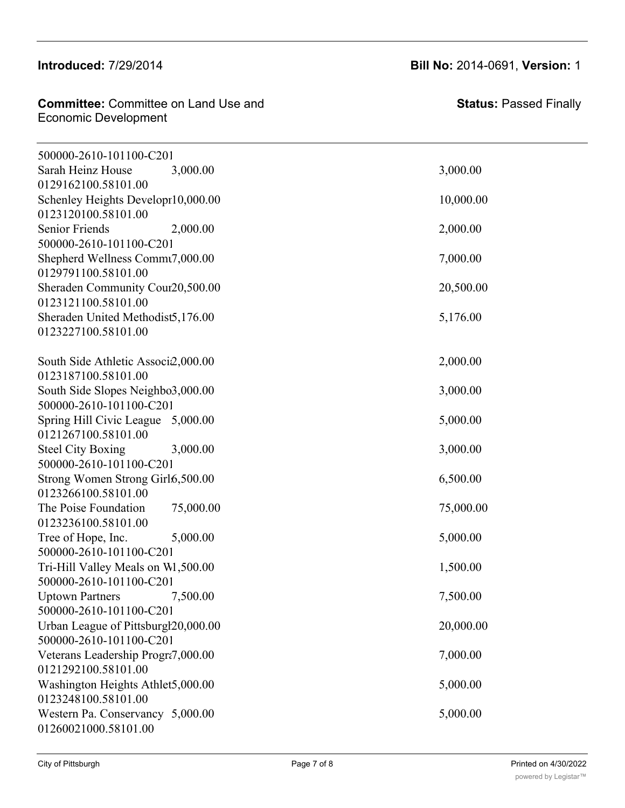### Introduced: 7/29/2014

**Committee: Committee on Land Use and Schmitted:** Schmitted on Early Secure 1986 and 1997.<br>Economic Development  $20.01$  and  $20.00$   $p_{11}$ 

 $\mathcal{S}(\mathcal{S})$  of  $\mathcal{S}(\mathcal{S})$  and  $\mathcal{S}(\mathcal{S})$  and  $\mathcal{S}(\mathcal{S})$  and  $\mathcal{S}(\mathcal{S})$ 

**Status:** Passed Finally

| 500000-2610-101100-C201                                  |           |
|----------------------------------------------------------|-----------|
| Sarah Heinz House<br>3,000.00                            | 3,000.00  |
| 0129162100.58101.00                                      |           |
| Schenley Heights Developr10,000.00                       | 10,000.00 |
| 0123120100.58101.00                                      |           |
| Senior Friends<br>2,000.00                               | 2,000.00  |
| 500000-2610-101100-C201                                  | 7,000.00  |
| Shepherd Wellness Commt7,000.00<br>0129791100.58101.00   |           |
| Sheraden Community Cour20,500.00                         | 20,500.00 |
| 0123121100.58101.00                                      |           |
| Sheraden United Methodist5,176.00                        | 5,176.00  |
| 0123227100.58101.00                                      |           |
|                                                          |           |
| South Side Athletic Associ2,000.00                       | 2,000.00  |
| 0123187100.58101.00                                      |           |
| South Side Slopes Neighbo3,000.00                        | 3,000.00  |
| 500000-2610-101100-C201                                  |           |
| Spring Hill Civic League 5,000.00                        | 5,000.00  |
| 0121267100.58101.00                                      |           |
| <b>Steel City Boxing</b><br>3,000.00                     | 3,000.00  |
| 500000-2610-101100-C201                                  |           |
| Strong Women Strong Girl6,500.00                         | 6,500.00  |
| 0123266100.58101.00                                      |           |
| The Poise Foundation<br>75,000.00<br>0123236100.58101.00 | 75,000.00 |
| Tree of Hope, Inc.<br>5,000.00                           | 5,000.00  |
| 500000-2610-101100-C201                                  |           |
| Tri-Hill Valley Meals on W1,500.00                       | 1,500.00  |
| 500000-2610-101100-C201                                  |           |
| 7,500.00<br><b>Uptown Partners</b>                       | 7,500.00  |
| 500000-2610-101100-C201                                  |           |
| Urban League of Pittsburgl20,000.00                      | 20,000.00 |
| 500000-2610-101100-C201                                  |           |
| Veterans Leadership Progra7,000.00                       | 7,000.00  |
| 0121292100.58101.00                                      |           |
| Washington Heights Athlet5,000.00                        | 5,000.00  |
| 0123248100.58101.00                                      |           |
| Western Pa. Conservancy 5,000.00                         | 5,000.00  |
| 01260021000.58101.00                                     |           |